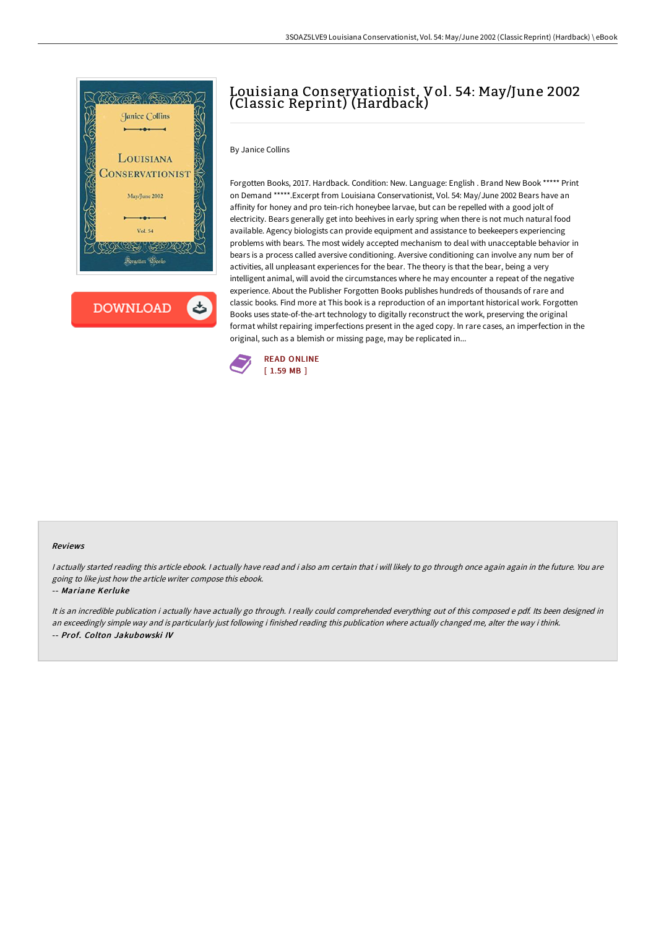

# Louisiana Conservationist, Vol. 54: May/June 2002 (Classic Reprint) (Hardback)

### By Janice Collins

Forgotten Books, 2017. Hardback. Condition: New. Language: English . Brand New Book \*\*\*\*\* Print on Demand \*\*\*\*\*.Excerpt from Louisiana Conservationist, Vol. 54: May/June 2002 Bears have an affinity for honey and pro tein-rich honeybee larvae, but can be repelled with a good jolt of electricity. Bears generally get into beehives in early spring when there is not much natural food available. Agency biologists can provide equipment and assistance to beekeepers experiencing problems with bears. The most widely accepted mechanism to deal with unacceptable behavior in bears is a process called aversive conditioning. Aversive conditioning can involve any num ber of activities, all unpleasant experiences for the bear. The theory is that the bear, being a very intelligent animal, will avoid the circumstances where he may encounter a repeat of the negative experience. About the Publisher Forgotten Books publishes hundreds of thousands of rare and classic books. Find more at This book is a reproduction of an important historical work. Forgotten Books uses state-of-the-art technology to digitally reconstruct the work, preserving the original format whilst repairing imperfections present in the aged copy. In rare cases, an imperfection in the original, such as a blemish or missing page, may be replicated in...



#### Reviews

I actually started reading this article ebook. I actually have read and i also am certain that i will likely to go through once again again in the future. You are going to like just how the article writer compose this ebook.

#### -- Mariane Kerluke

It is an incredible publication i actually have actually go through. I really could comprehended everything out of this composed e pdf. Its been designed in an exceedingly simple way and is particularly just following i finished reading this publication where actually changed me, alter the way i think. -- Prof. Colton Jakubowski IV